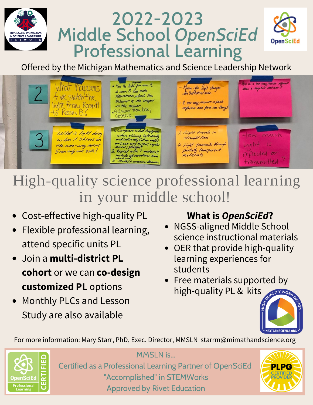# 2022-2023 Middle School *OpenSciEd* ICHIGAN MATHEMATICS<br>| SCIENCE LEADERSHIP<br>| E T W O R K **Professional Learning**



Offered by the Michigan Mathematics and Science Leadership Network



High-quality science professional learning in your middle school!

- Cost-effective high-quality PL
- Flexible professional learning, attend specific units PL
- Join a **multi-district PL cohort** or we can **co-design customized PL** options
- Monthly PLCs and Lesson Study are also available

## **What is** *OpenSciEd***?**

- NGSS-aligned Middle School science instructional materials
- OER that provide high-quality learning experiences for students
- Free materials supported by high-quality PL & kits



For more information: Mary Starr, PhD, Exec. Director, MMSLN [starrm@mimathandscience.org](mailto:starrm@mimathandscience.org)



MMSLN is... Certified as a Professional Learning Partner of OpenSciEd "Accomplished" in STEMWorks Approved by Rivet Education